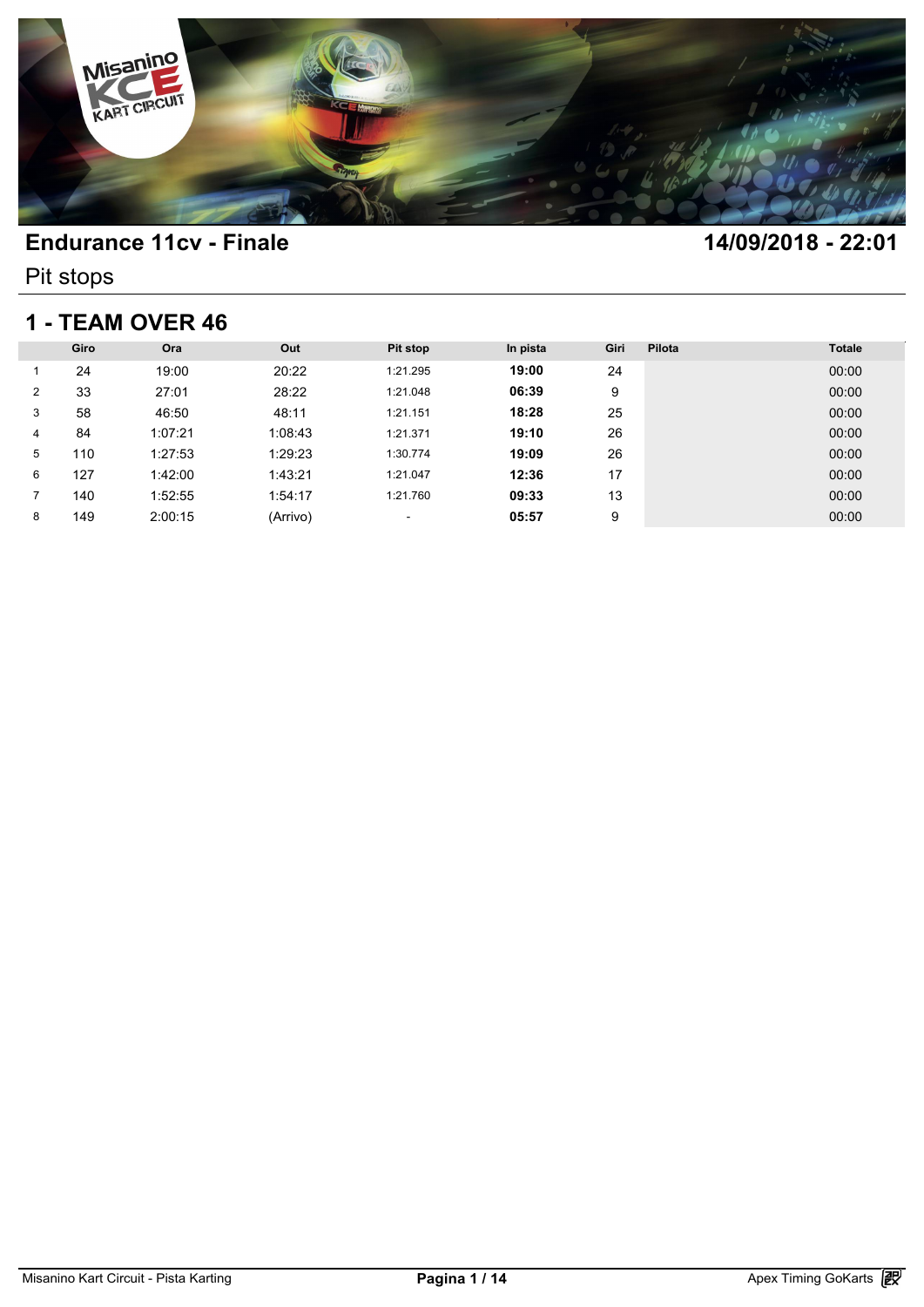

Pit stops

### **1 - TEAM OVER 46**

| 1 - TEAM OVER 46 |      |         |          |          |          |      |        |               |  |  |
|------------------|------|---------|----------|----------|----------|------|--------|---------------|--|--|
|                  | Giro | Ora     | Out      | Pit stop | In pista | Giri | Pilota | <b>Totale</b> |  |  |
|                  | 24   | 19:00   | 20:22    | 1:21.295 | 19:00    | 24   |        | 00:00         |  |  |
| $\overline{2}$   | 33   | 27:01   | 28:22    | 1:21.048 | 06:39    | 9    |        | 00:00         |  |  |
| 3                | 58   | 46:50   | 48:11    | 1:21.151 | 18:28    | 25   |        | 00:00         |  |  |
| 4                | 84   | 1:07:21 | 1:08:43  | 1:21.371 | 19:10    | 26   |        | 00:00         |  |  |
| 5                | 110  | 1:27:53 | 1:29:23  | 1:30.774 | 19:09    | 26   |        | 00:00         |  |  |
| 6                | 127  | 1:42:00 | 1:43:21  | 1:21.047 | 12:36    | 17   |        | 00:00         |  |  |
|                  | 140  | 1:52:55 | 1:54:17  | 1:21.760 | 09:33    | 13   |        | 00:00         |  |  |
| 8                | 149  | 2:00:15 | (Arrivo) | ٠        | 05:57    | 9    |        | 00:00         |  |  |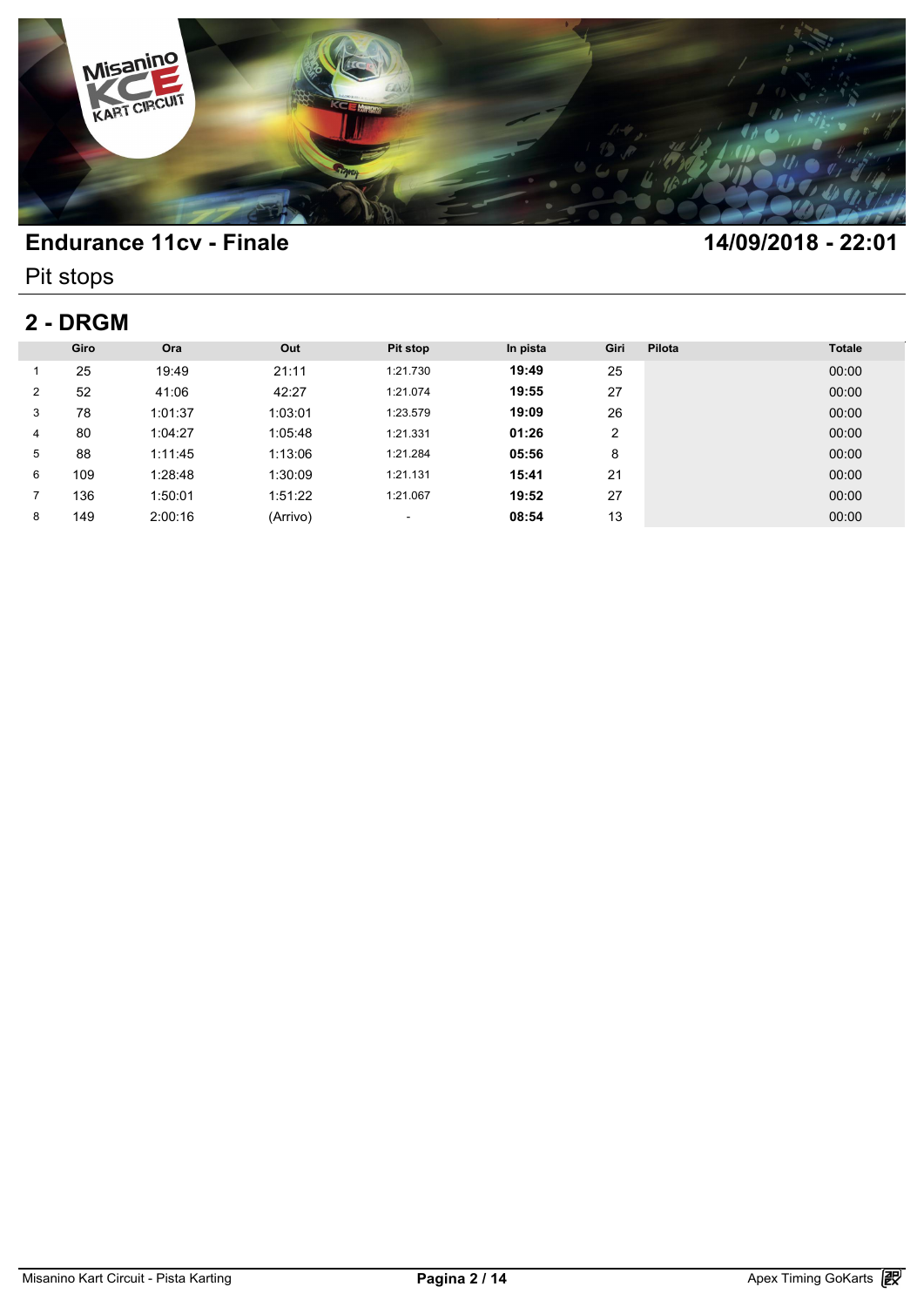

Pit stops

# **2 - DRGM**

| 2 - DRGM       |      |         |          |          |          |      |        |               |  |
|----------------|------|---------|----------|----------|----------|------|--------|---------------|--|
|                | Giro | Ora     | Out      | Pit stop | In pista | Giri | Pilota | <b>Totale</b> |  |
|                | 25   | 19:49   | 21:11    | 1:21.730 | 19:49    | 25   |        | 00:00         |  |
| $\overline{2}$ | 52   | 41:06   | 42:27    | 1:21.074 | 19:55    | 27   |        | 00:00         |  |
| 3              | 78   | 1:01:37 | 1:03:01  | 1:23.579 | 19:09    | 26   |        | 00:00         |  |
| 4              | 80   | 1:04:27 | 1:05:48  | 1:21.331 | 01:26    | 2    |        | 00:00         |  |
| 5              | 88   | 1:11:45 | 1:13:06  | 1:21.284 | 05:56    | 8    |        | 00:00         |  |
| 6              | 109  | 1:28:48 | 1:30:09  | 1:21.131 | 15:41    | 21   |        | 00:00         |  |
|                | 136  | 1:50:01 | 1:51:22  | 1:21.067 | 19:52    | 27   |        | 00:00         |  |
| 8              | 149  | 2:00:16 | (Arrivo) | ٠        | 08:54    | 13   |        | 00:00         |  |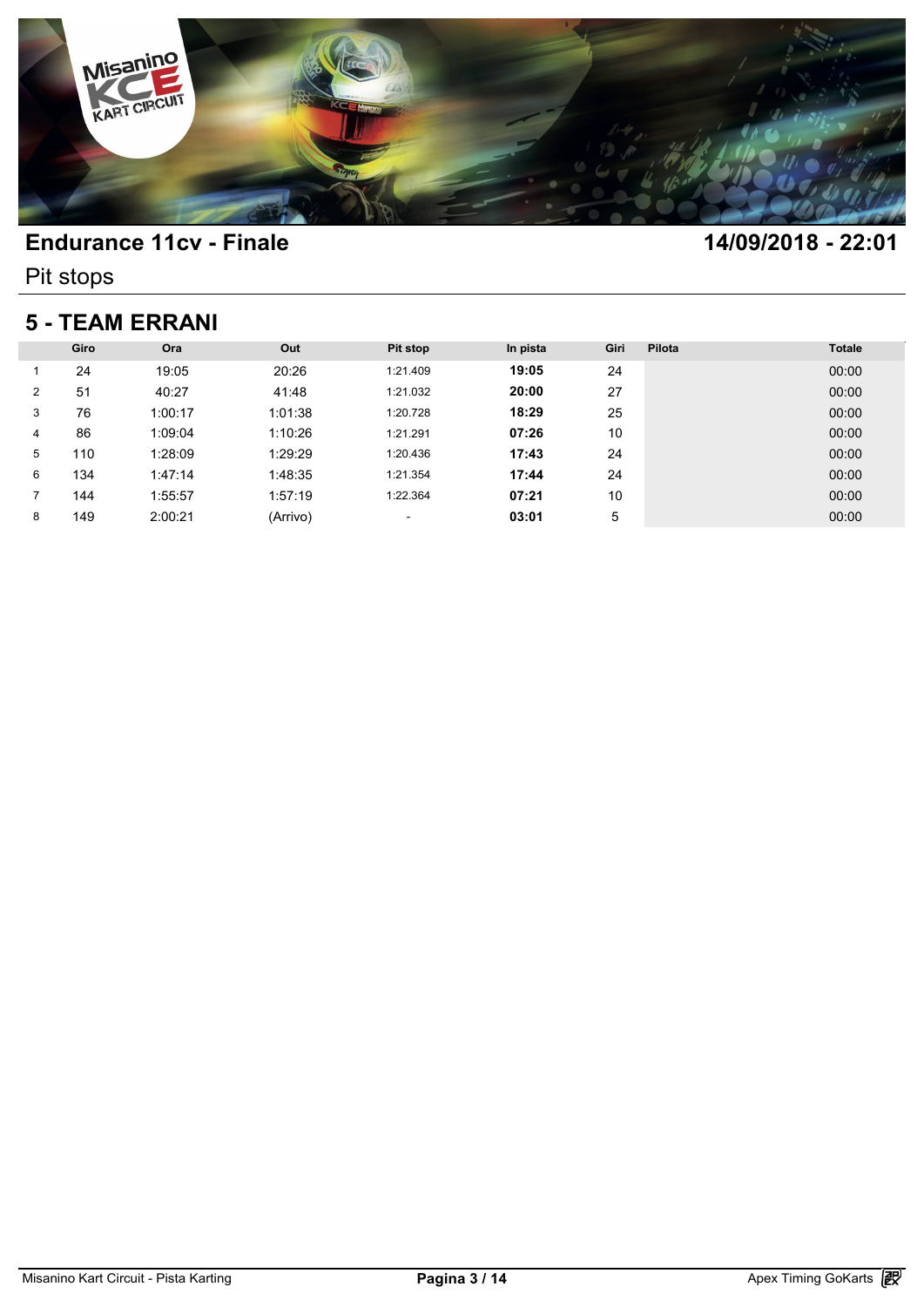

Pit stops

### **5 - TEAM ERRANI**

| <b>5 - TEAM ERRANI</b> |      |         |          |          |          |      |        |               |  |  |
|------------------------|------|---------|----------|----------|----------|------|--------|---------------|--|--|
|                        | Giro | Ora     | Out      | Pit stop | In pista | Giri | Pilota | <b>Totale</b> |  |  |
|                        | 24   | 19:05   | 20:26    | 1:21.409 | 19:05    | 24   |        | 00:00         |  |  |
| $\overline{2}$         | 51   | 40:27   | 41:48    | 1:21.032 | 20:00    | 27   |        | 00:00         |  |  |
| 3                      | 76   | 1:00:17 | 1:01:38  | 1:20.728 | 18:29    | 25   |        | 00:00         |  |  |
| 4                      | 86   | 1:09:04 | 1:10:26  | 1:21.291 | 07:26    | 10   |        | 00:00         |  |  |
| 5                      | 110  | 1:28:09 | 1:29:29  | 1:20.436 | 17:43    | 24   |        | 00:00         |  |  |
| 6                      | 134  | 1:47:14 | 1:48:35  | 1:21.354 | 17:44    | 24   |        | 00:00         |  |  |
|                        | 144  | 1:55:57 | 1:57:19  | 1:22.364 | 07:21    | 10   |        | 00:00         |  |  |
| 8                      | 149  | 2:00:21 | (Arrivo) | ٠        | 03:01    | 5    |        | 00:00         |  |  |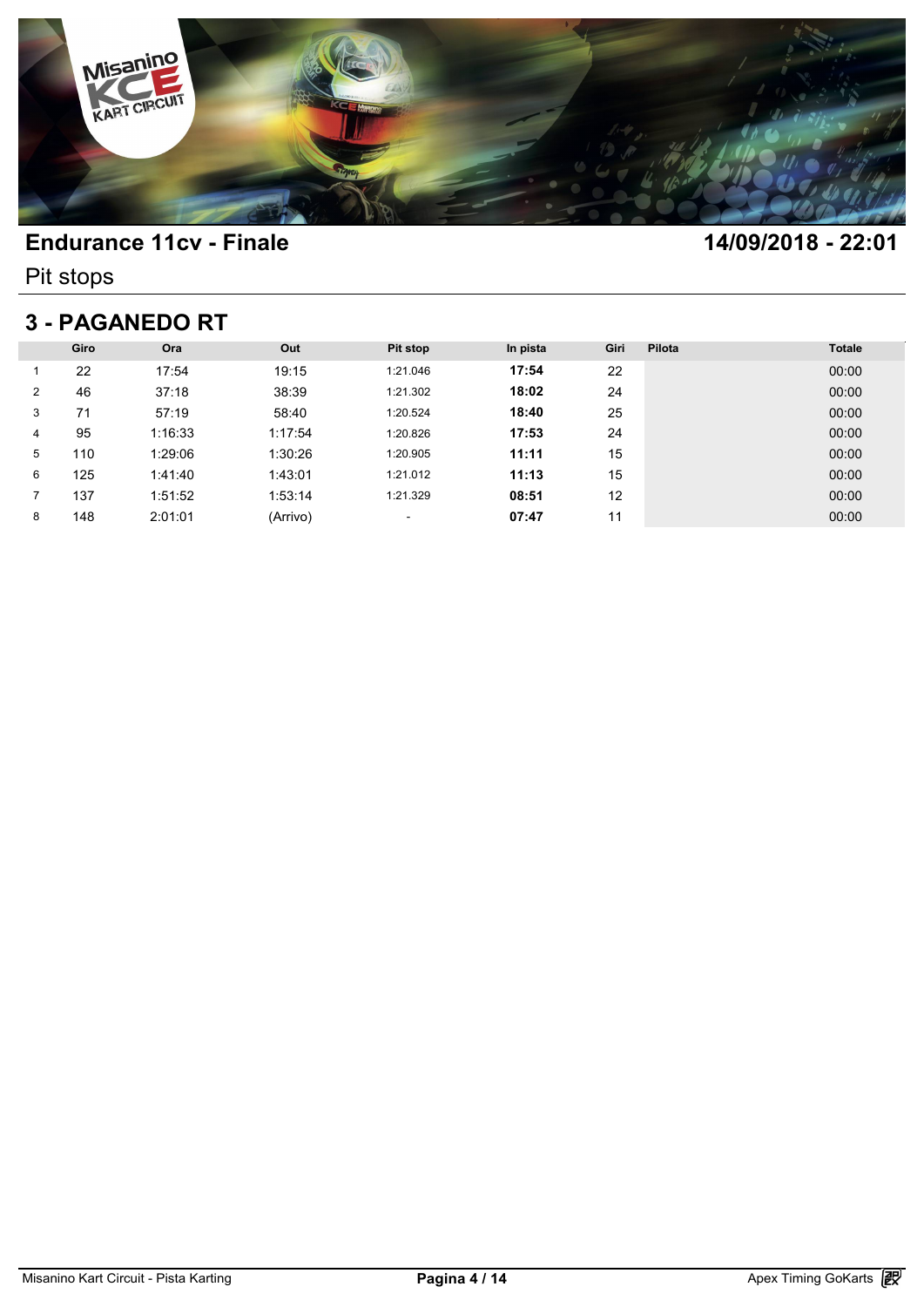

Pit stops

# **3 - PAGANEDO RT**

| <b>3 - PAGANEDO RT</b> |      |         |          |          |          |      |        |               |  |  |
|------------------------|------|---------|----------|----------|----------|------|--------|---------------|--|--|
|                        | Giro | Ora     | Out      | Pit stop | In pista | Giri | Pilota | <b>Totale</b> |  |  |
|                        | 22   | 17:54   | 19:15    | 1:21.046 | 17:54    | 22   |        | 00:00         |  |  |
| 2                      | 46   | 37:18   | 38:39    | 1:21.302 | 18:02    | 24   |        | 00:00         |  |  |
| 3                      | 71   | 57:19   | 58:40    | 1:20.524 | 18:40    | 25   |        | 00:00         |  |  |
| 4                      | 95   | 1:16:33 | 1:17:54  | 1:20.826 | 17:53    | 24   |        | 00:00         |  |  |
| 5                      | 110  | 1:29:06 | 1:30:26  | 1:20.905 | 11:11    | 15   |        | 00:00         |  |  |
| 6                      | 125  | 1:41:40 | 1:43:01  | 1:21.012 | 11:13    | 15   |        | 00:00         |  |  |
|                        | 137  | 1:51:52 | 1:53:14  | 1:21.329 | 08:51    | 12   |        | 00:00         |  |  |
| 8                      | 148  | 2:01:01 | (Arrivo) | ٠        | 07:47    | 11   |        | 00:00         |  |  |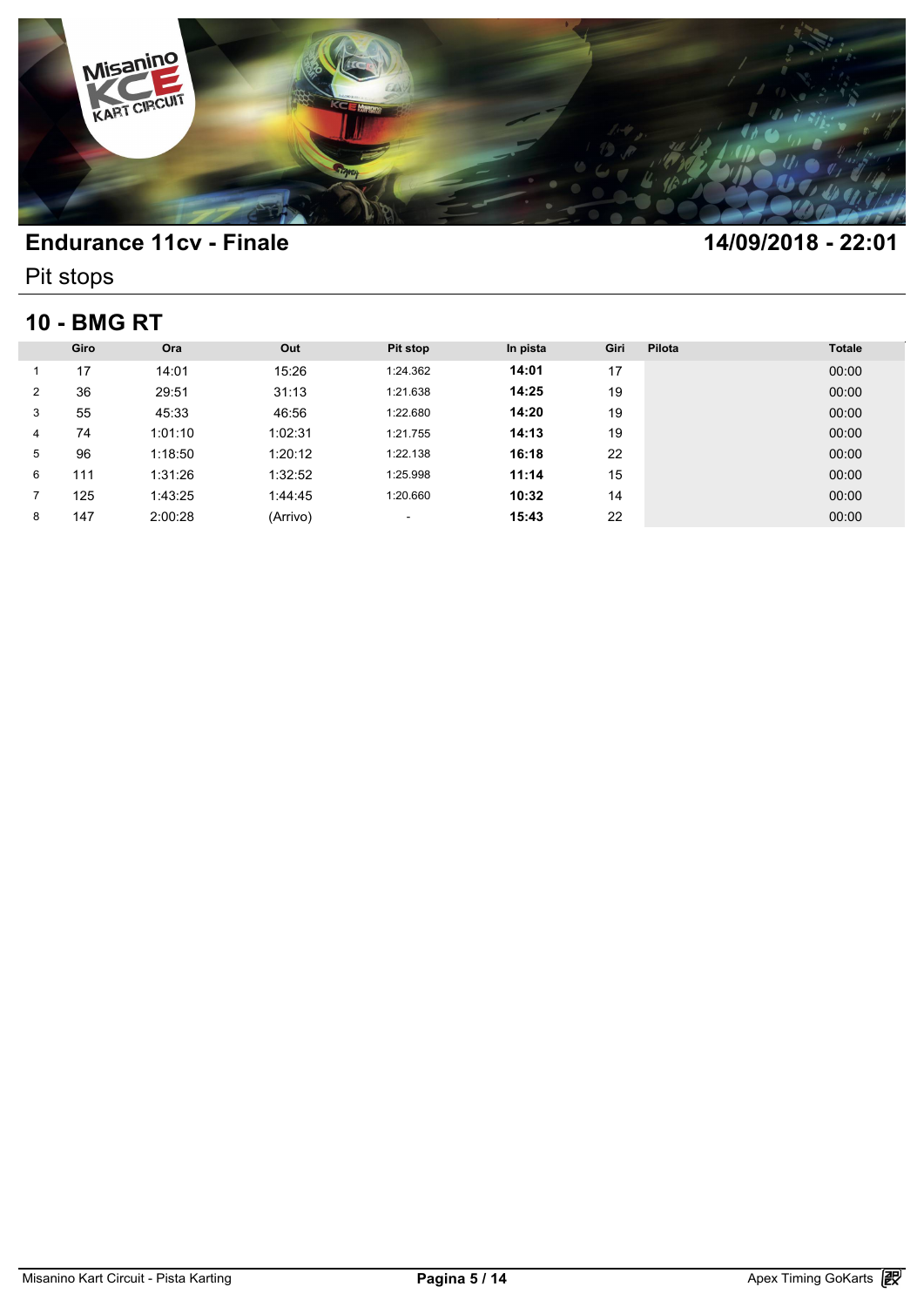

Pit stops

# **10 - BMG RT**

| <b>10 - BMG RT</b> |      |         |          |                          |          |      |        |               |  |  |
|--------------------|------|---------|----------|--------------------------|----------|------|--------|---------------|--|--|
|                    | Giro | Ora     | Out      | Pit stop                 | In pista | Giri | Pilota | <b>Totale</b> |  |  |
|                    | 17   | 14:01   | 15:26    | 1:24.362                 | 14:01    | 17   |        | 00:00         |  |  |
| 2                  | 36   | 29:51   | 31:13    | 1:21.638                 | 14:25    | 19   |        | 00:00         |  |  |
| 3                  | 55   | 45:33   | 46:56    | 1:22.680                 | 14:20    | 19   |        | 00:00         |  |  |
| 4                  | 74   | 1:01:10 | 1:02:31  | 1:21.755                 | 14:13    | 19   |        | 00:00         |  |  |
| 5                  | 96   | 1:18:50 | 1:20:12  | 1:22.138                 | 16:18    | 22   |        | 00:00         |  |  |
| 6                  | 111  | 1:31:26 | 1:32:52  | 1:25.998                 | 11:14    | 15   |        | 00:00         |  |  |
| 7                  | 125  | 1:43:25 | 1:44:45  | 1:20.660                 | 10:32    | 14   |        | 00:00         |  |  |
| 8                  | 147  | 2:00:28 | (Arrivo) | $\overline{\phantom{a}}$ | 15:43    | 22   |        | 00:00         |  |  |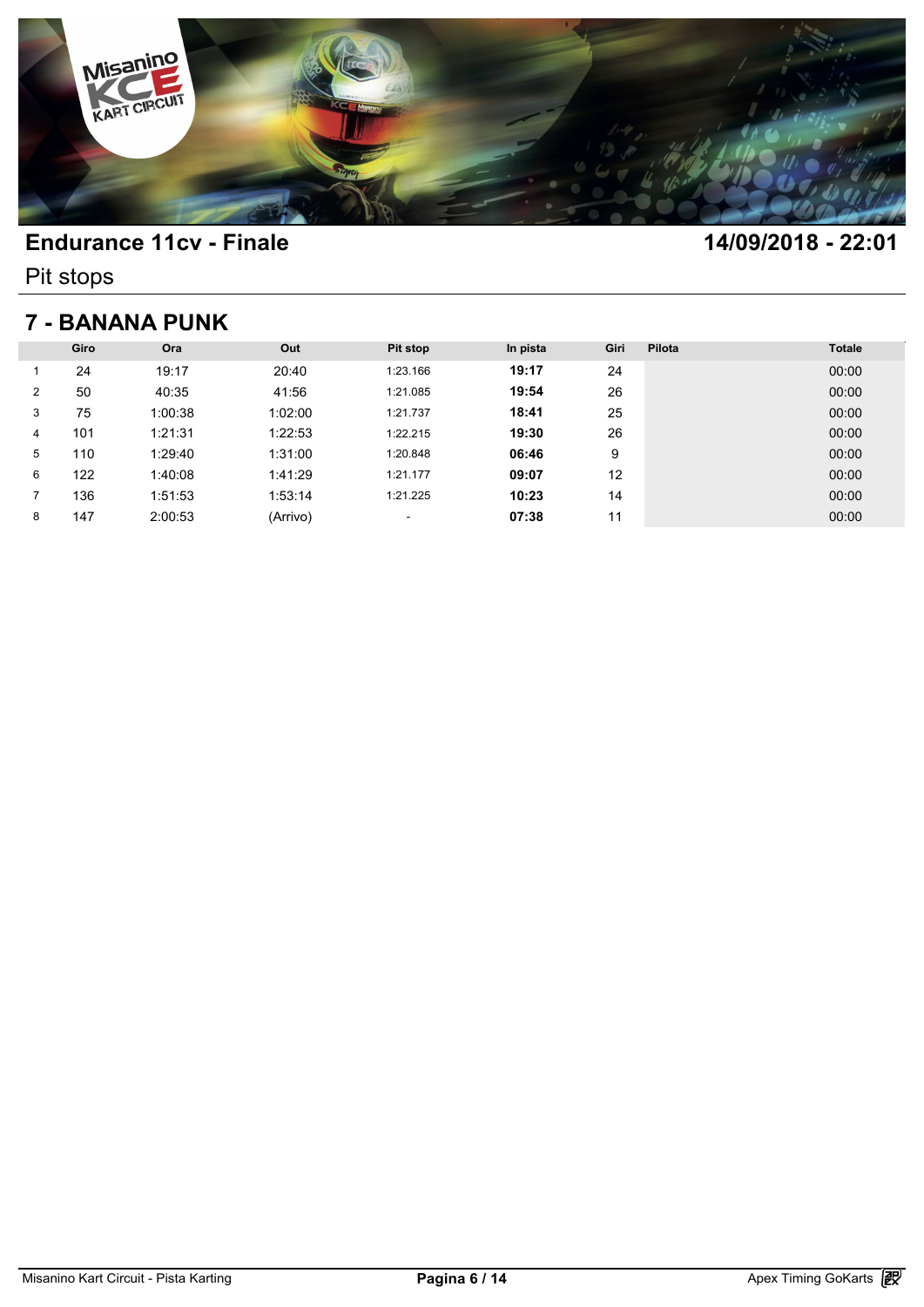

Pit stops

## **7 - BANANA PUNK**

| 7 - BANANA PUNK |      |         |          |          |          |      |        |               |  |  |
|-----------------|------|---------|----------|----------|----------|------|--------|---------------|--|--|
|                 | Giro | Ora     | Out      | Pit stop | In pista | Giri | Pilota | <b>Totale</b> |  |  |
|                 | 24   | 19:17   | 20:40    | 1:23.166 | 19:17    | 24   |        | 00:00         |  |  |
| 2               | 50   | 40:35   | 41:56    | 1:21.085 | 19:54    | 26   |        | 00:00         |  |  |
| 3               | 75   | 1:00:38 | 1:02:00  | 1:21.737 | 18:41    | 25   |        | 00:00         |  |  |
| 4               | 101  | 1:21:31 | 1:22:53  | 1:22.215 | 19:30    | 26   |        | 00:00         |  |  |
| 5               | 110  | 1:29:40 | 1:31:00  | 1:20.848 | 06:46    | 9    |        | 00:00         |  |  |
| 6               | 122  | 1:40:08 | 1:41:29  | 1:21.177 | 09:07    | 12   |        | 00:00         |  |  |
|                 | 136  | 1:51:53 | 1:53:14  | 1:21.225 | 10:23    | 14   |        | 00:00         |  |  |
| 8               | 147  | 2:00:53 | (Arrivo) | ٠        | 07:38    | 11   |        | 00:00         |  |  |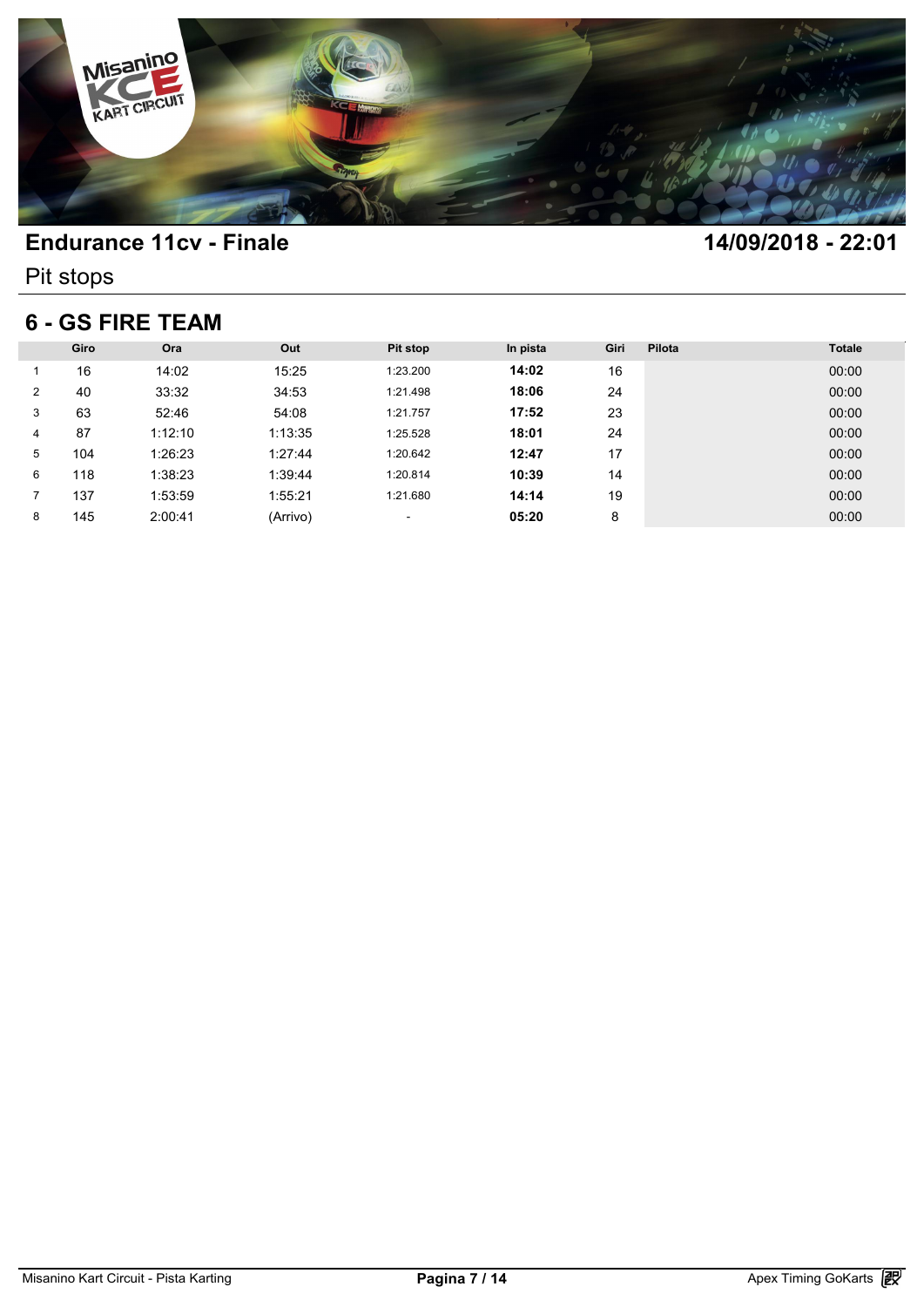

Pit stops

### **6 - GS FIRE TEAM**

| <b>6 - GS FIRE TEAM</b> |      |         |          |          |          |      |        |               |  |  |
|-------------------------|------|---------|----------|----------|----------|------|--------|---------------|--|--|
|                         | Giro | Ora     | Out      | Pit stop | In pista | Giri | Pilota | <b>Totale</b> |  |  |
|                         | 16   | 14:02   | 15:25    | 1:23.200 | 14:02    | 16   |        | 00:00         |  |  |
| 2                       | 40   | 33:32   | 34:53    | 1:21.498 | 18:06    | 24   |        | 00:00         |  |  |
| 3                       | 63   | 52:46   | 54:08    | 1:21.757 | 17:52    | 23   |        | 00:00         |  |  |
| 4                       | 87   | 1:12:10 | 1:13:35  | 1:25.528 | 18:01    | 24   |        | 00:00         |  |  |
| 5                       | 104  | 1:26:23 | 1:27:44  | 1:20.642 | 12:47    | 17   |        | 00:00         |  |  |
| 6                       | 118  | 1:38:23 | 1:39:44  | 1:20.814 | 10:39    | 14   |        | 00:00         |  |  |
|                         | 137  | 1:53:59 | 1:55:21  | 1:21.680 | 14:14    | 19   |        | 00:00         |  |  |
| 8                       | 145  | 2:00:41 | (Arrivo) | ٠        | 05:20    | 8    |        | 00:00         |  |  |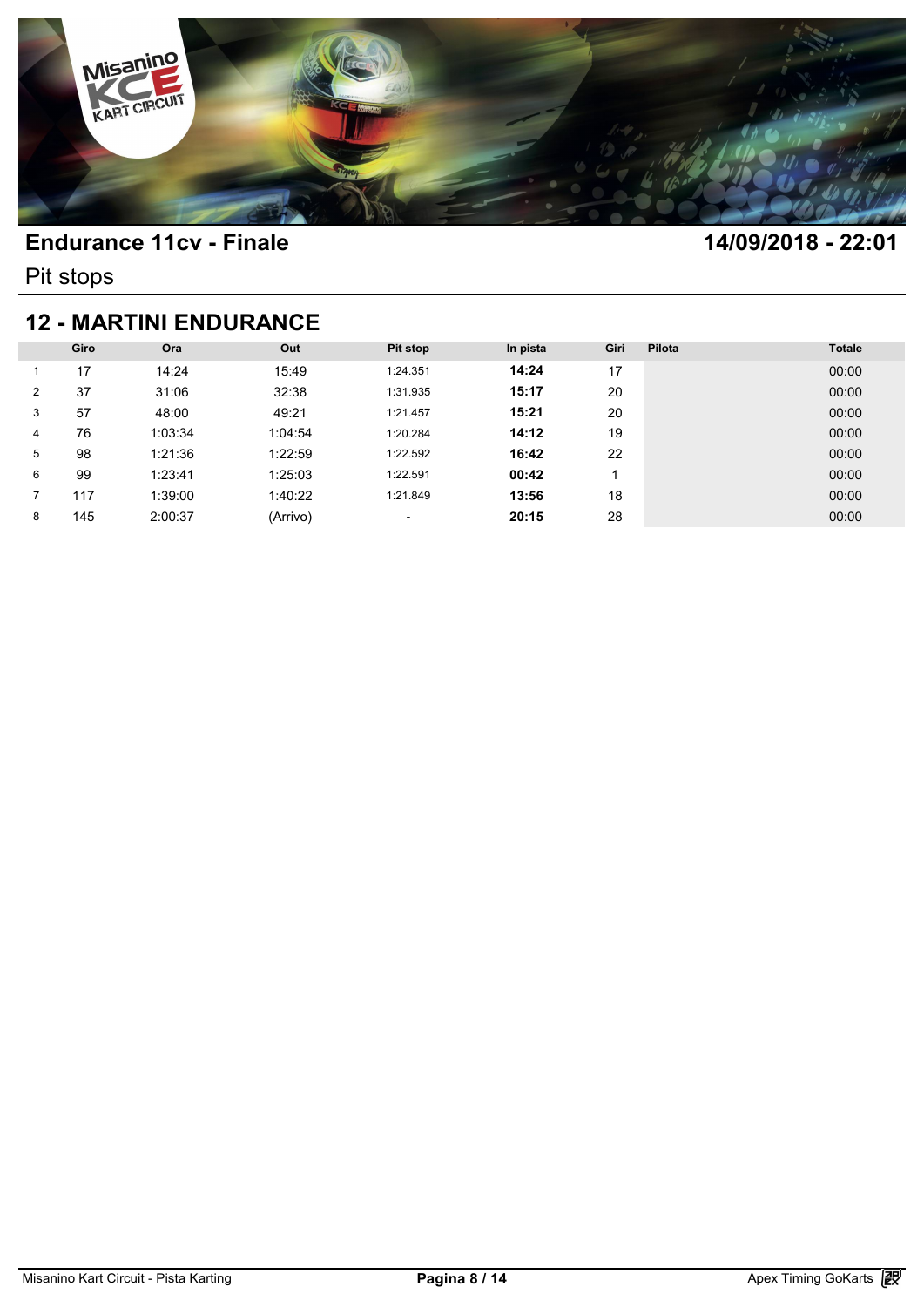

Pit stops

### **12 - MARTINI ENDURANCE**

| <b>12 - MARTINI ENDURANCE</b> |      |         |          |                          |          |      |        |               |  |  |
|-------------------------------|------|---------|----------|--------------------------|----------|------|--------|---------------|--|--|
|                               | Giro | Ora     | Out      | Pit stop                 | In pista | Giri | Pilota | <b>Totale</b> |  |  |
|                               | 17   | 14:24   | 15:49    | 1:24.351                 | 14:24    | 17   |        | 00:00         |  |  |
| 2                             | 37   | 31:06   | 32:38    | 1:31.935                 | 15:17    | 20   |        | 00:00         |  |  |
| 3                             | 57   | 48:00   | 49:21    | 1:21.457                 | 15:21    | 20   |        | 00:00         |  |  |
| 4                             | 76   | 1:03:34 | 1:04:54  | 1:20.284                 | 14:12    | 19   |        | 00:00         |  |  |
| 5                             | 98   | 1:21:36 | 1:22:59  | 1:22.592                 | 16:42    | 22   |        | 00:00         |  |  |
| 6                             | 99   | 1:23:41 | 1:25:03  | 1:22.591                 | 00:42    |      |        | 00:00         |  |  |
|                               | 117  | 1:39:00 | 1:40:22  | 1:21.849                 | 13:56    | 18   |        | 00:00         |  |  |
| 8                             | 145  | 2:00:37 | (Arrivo) | $\overline{\phantom{a}}$ | 20:15    | 28   |        | 00:00         |  |  |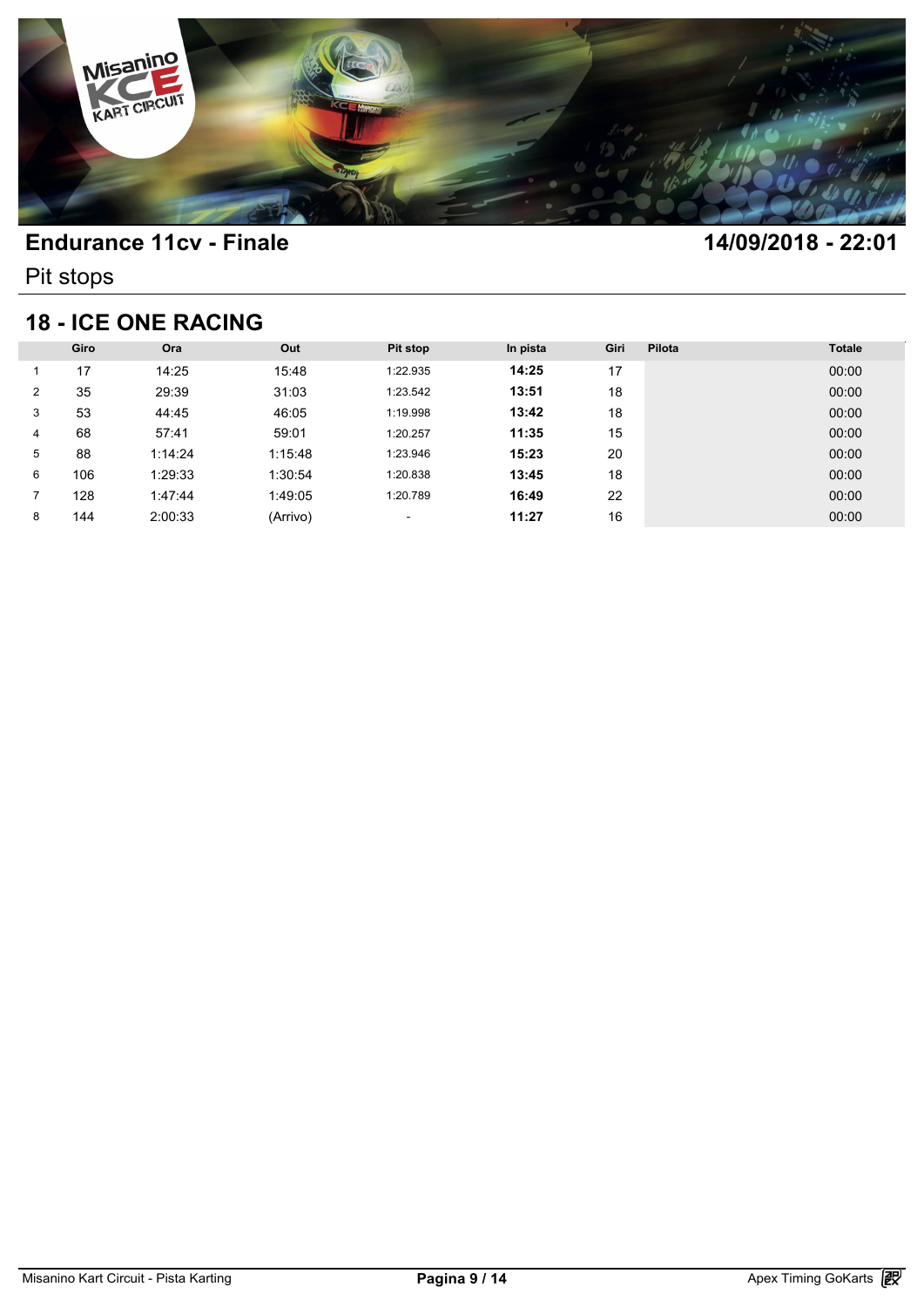

Pit stops

## **18 - ICE ONE RACING**

| <b>18 - ICE ONE RACING</b> |      |         |          |                          |          |      |        |               |  |  |
|----------------------------|------|---------|----------|--------------------------|----------|------|--------|---------------|--|--|
|                            | Giro | Ora     | Out      | <b>Pit stop</b>          | In pista | Giri | Pilota | <b>Totale</b> |  |  |
|                            | 17   | 14:25   | 15:48    | 1:22.935                 | 14:25    | 17   |        | 00:00         |  |  |
| 2                          | 35   | 29:39   | 31:03    | 1:23.542                 | 13:51    | 18   |        | 00:00         |  |  |
| 3                          | 53   | 44:45   | 46:05    | 1:19.998                 | 13:42    | 18   |        | 00:00         |  |  |
| 4                          | 68   | 57:41   | 59:01    | 1:20.257                 | 11:35    | 15   |        | 00:00         |  |  |
| 5                          | 88   | 1:14:24 | 1:15:48  | 1:23.946                 | 15:23    | 20   |        | 00:00         |  |  |
| 6                          | 106  | 1:29:33 | 1:30:54  | 1:20.838                 | 13:45    | 18   |        | 00:00         |  |  |
|                            | 128  | 1:47:44 | 1:49:05  | 1:20.789                 | 16:49    | 22   |        | 00:00         |  |  |
| 8                          | 144  | 2:00:33 | (Arrivo) | $\overline{\phantom{a}}$ | 11:27    | 16   |        | 00:00         |  |  |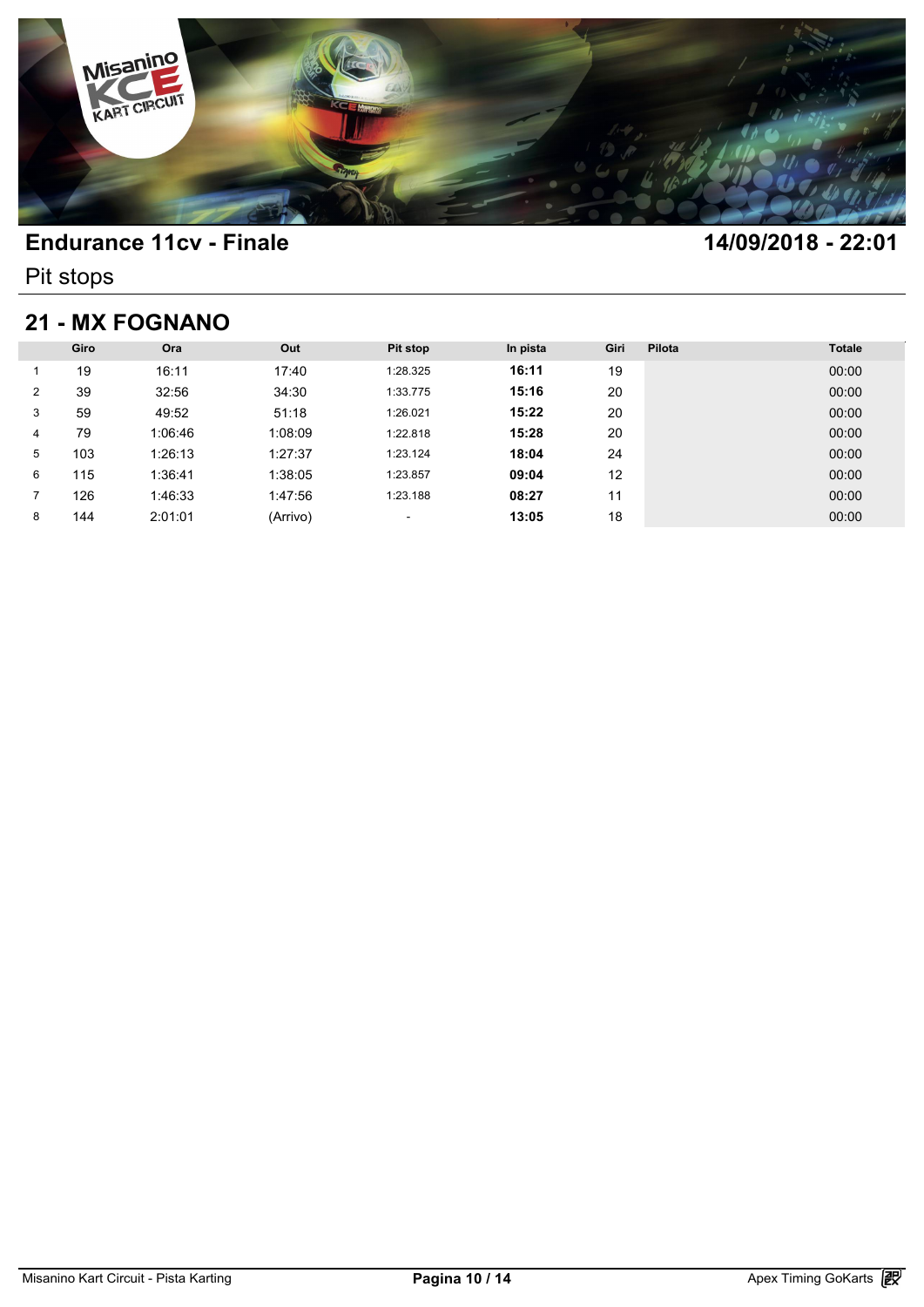

Pit stops

# **21 - MX FOGNANO**

| <b>21 - MX FOGNANO</b> |      |         |          |                          |          |      |        |               |  |  |
|------------------------|------|---------|----------|--------------------------|----------|------|--------|---------------|--|--|
|                        | Giro | Ora     | Out      | <b>Pit stop</b>          | In pista | Giri | Pilota | <b>Totale</b> |  |  |
|                        | 19   | 16:11   | 17:40    | 1:28.325                 | 16:11    | 19   |        | 00:00         |  |  |
| 2                      | 39   | 32:56   | 34:30    | 1:33.775                 | 15:16    | 20   |        | 00:00         |  |  |
| 3                      | 59   | 49:52   | 51:18    | 1:26.021                 | 15:22    | 20   |        | 00:00         |  |  |
| 4                      | 79   | 1:06:46 | 1:08:09  | 1:22.818                 | 15:28    | 20   |        | 00:00         |  |  |
| 5                      | 103  | 1:26:13 | 1:27:37  | 1:23.124                 | 18:04    | 24   |        | 00:00         |  |  |
| 6                      | 115  | 1:36:41 | 1:38:05  | 1:23.857                 | 09:04    | 12   |        | 00:00         |  |  |
| 7                      | 126  | 1:46:33 | 1:47:56  | 1:23.188                 | 08:27    | 11   |        | 00:00         |  |  |
| 8                      | 144  | 2:01:01 | (Arrivo) | $\overline{\phantom{a}}$ | 13:05    | 18   |        | 00:00         |  |  |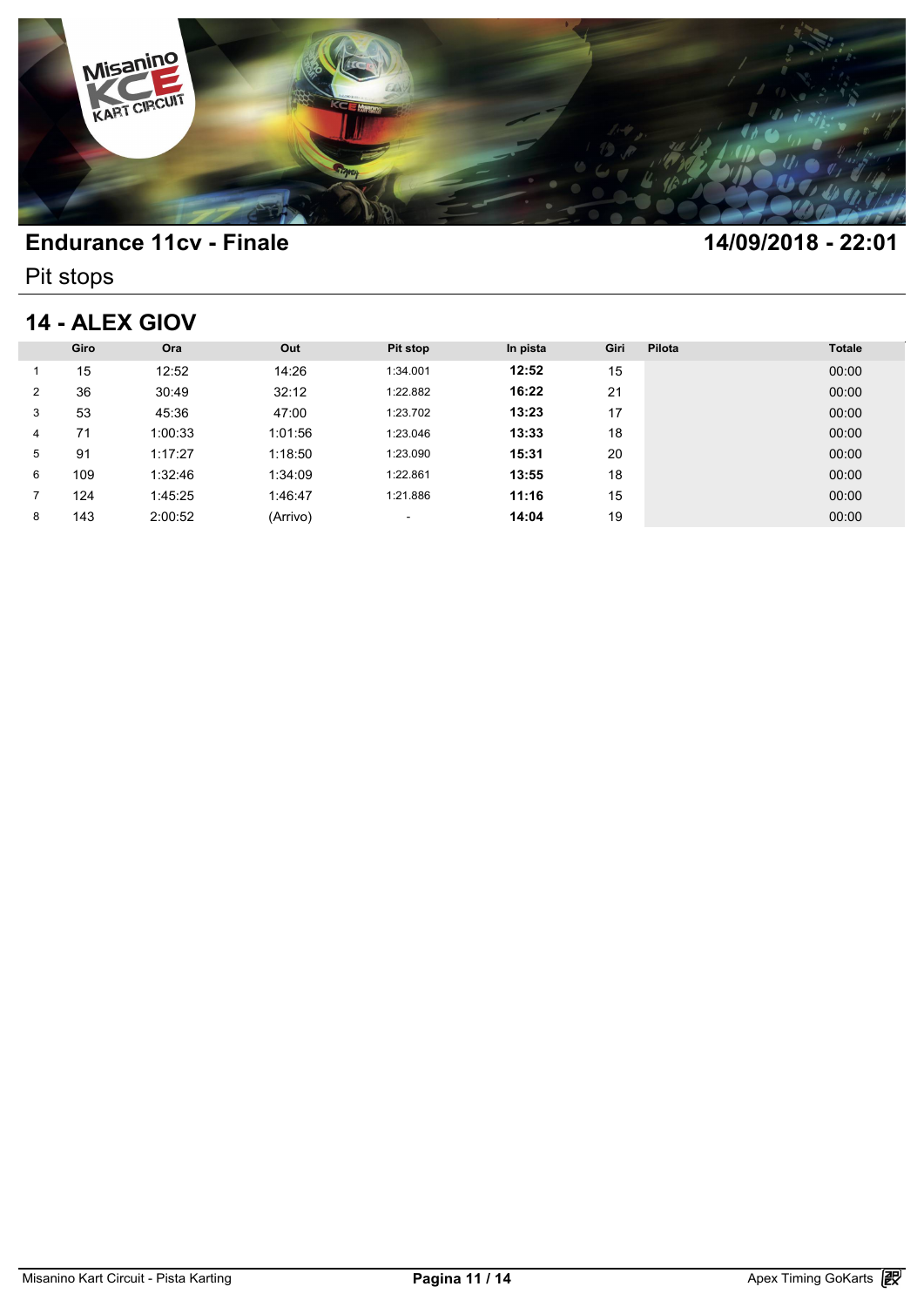

Pit stops

### **14 - ALEX GIOV**

| 14 - ALEX GIOV |      |         |          |                          |          |      |        |               |  |
|----------------|------|---------|----------|--------------------------|----------|------|--------|---------------|--|
|                | Giro | Ora     | Out      | <b>Pit stop</b>          | In pista | Giri | Pilota | <b>Totale</b> |  |
|                | 15   | 12:52   | 14:26    | 1:34.001                 | 12:52    | 15   |        | 00:00         |  |
| 2              | 36   | 30:49   | 32:12    | 1:22.882                 | 16:22    | 21   |        | 00:00         |  |
| 3              | 53   | 45:36   | 47:00    | 1:23.702                 | 13:23    | 17   |        | 00:00         |  |
| 4              | 71   | 1:00:33 | 1:01:56  | 1:23.046                 | 13:33    | 18   |        | 00:00         |  |
| 5              | 91   | 1:17:27 | 1:18:50  | 1:23.090                 | 15:31    | 20   |        | 00:00         |  |
| 6              | 109  | 1:32:46 | 1:34:09  | 1:22.861                 | 13:55    | 18   |        | 00:00         |  |
| 7              | 124  | 1:45:25 | 1:46:47  | 1:21.886                 | 11:16    | 15   |        | 00:00         |  |
| 8              | 143  | 2:00:52 | (Arrivo) | $\overline{\phantom{a}}$ | 14:04    | 19   |        | 00:00         |  |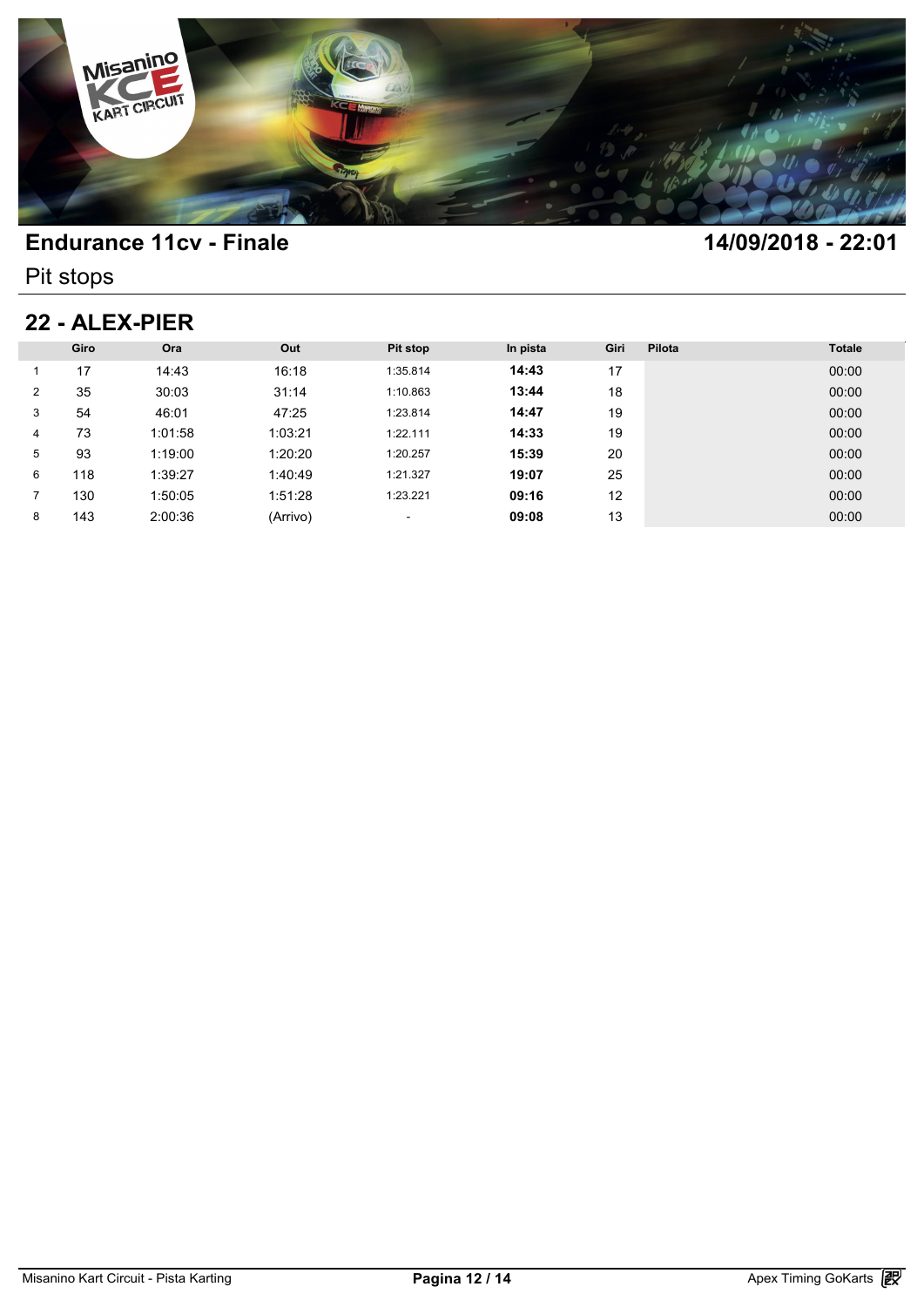

Pit stops

### **22 - ALEX-PIER**

| 22 - ALEX-PIER |      |         |          |                          |          |      |        |               |  |  |
|----------------|------|---------|----------|--------------------------|----------|------|--------|---------------|--|--|
|                | Giro | Ora     | Out      | Pit stop                 | In pista | Giri | Pilota | <b>Totale</b> |  |  |
|                | 17   | 14:43   | 16:18    | 1:35.814                 | 14:43    | 17   |        | 00:00         |  |  |
| 2              | 35   | 30:03   | 31:14    | 1:10.863                 | 13:44    | 18   |        | 00:00         |  |  |
| 3              | 54   | 46:01   | 47:25    | 1:23.814                 | 14:47    | 19   |        | 00:00         |  |  |
| 4              | 73   | 1:01:58 | 1:03:21  | 1:22.111                 | 14:33    | 19   |        | 00:00         |  |  |
| 5              | 93   | 1:19:00 | 1:20:20  | 1:20.257                 | 15:39    | 20   |        | 00:00         |  |  |
| 6              | 118  | 1:39:27 | 1:40:49  | 1:21.327                 | 19:07    | 25   |        | 00:00         |  |  |
| 7              | 130  | 1:50:05 | 1:51:28  | 1:23.221                 | 09:16    | 12   |        | 00:00         |  |  |
| 8              | 143  | 2:00:36 | (Arrivo) | $\overline{\phantom{a}}$ | 09:08    | 13   |        | 00:00         |  |  |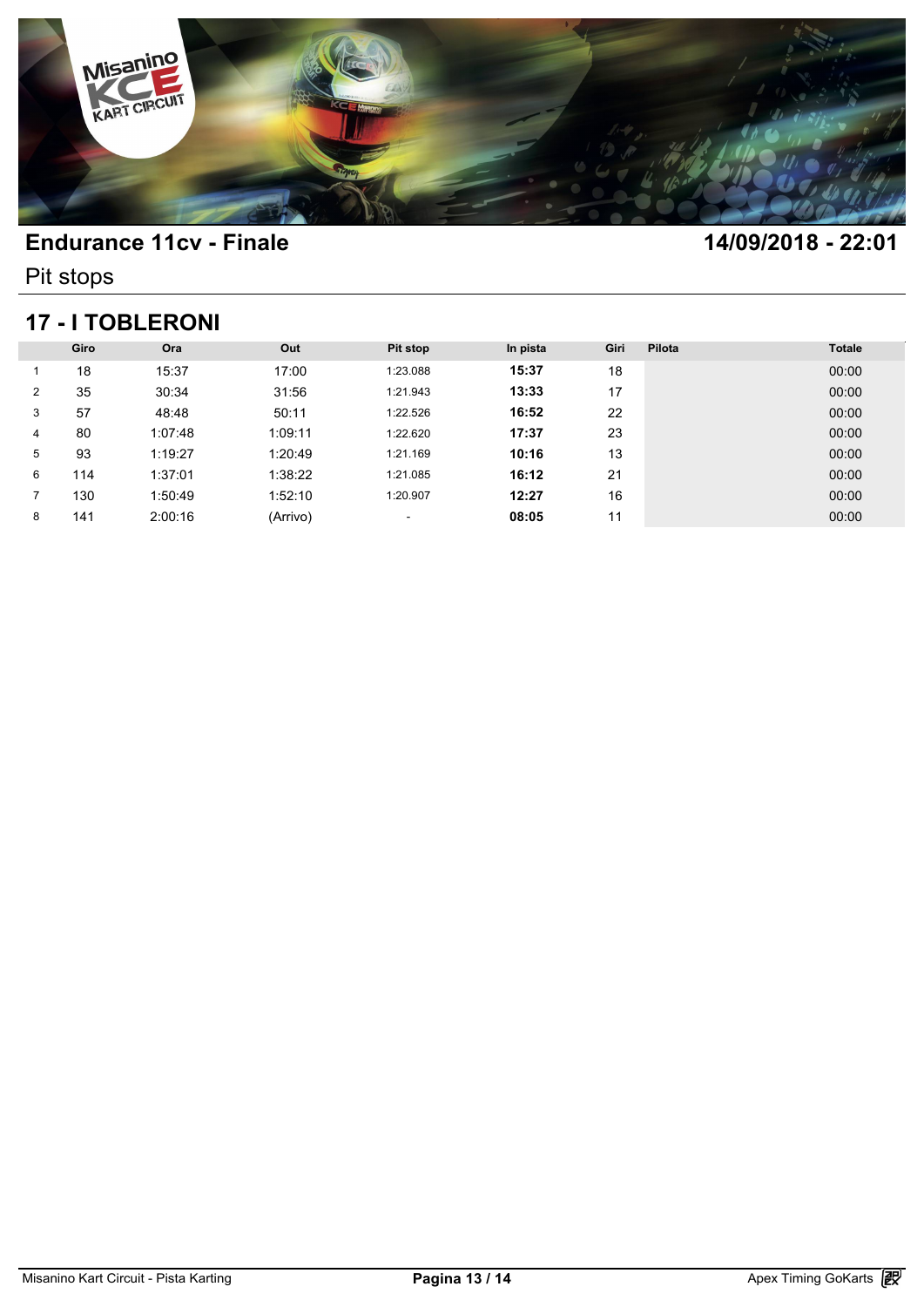

Pit stops

## **17 - I TOBLERONI**

|                | <b>17 - I TOBLERONI</b> |         |          |          |          |      |        |               |  |  |  |  |
|----------------|-------------------------|---------|----------|----------|----------|------|--------|---------------|--|--|--|--|
|                | Giro                    | Ora     | Out      | Pit stop | In pista | Giri | Pilota | <b>Totale</b> |  |  |  |  |
|                | 18                      | 15:37   | 17:00    | 1:23.088 | 15:37    | 18   |        | 00:00         |  |  |  |  |
| $\overline{2}$ | 35                      | 30:34   | 31:56    | 1:21.943 | 13:33    | 17   |        | 00:00         |  |  |  |  |
| 3              | 57                      | 48:48   | 50:11    | 1:22.526 | 16:52    | 22   |        | 00:00         |  |  |  |  |
| 4              | 80                      | 1:07:48 | 1:09:11  | 1:22.620 | 17:37    | 23   |        | 00:00         |  |  |  |  |
| 5              | 93                      | 1:19:27 | 1:20:49  | 1:21.169 | 10:16    | 13   |        | 00:00         |  |  |  |  |
| 6              | 114                     | 1:37:01 | 1:38:22  | 1:21.085 | 16:12    | 21   |        | 00:00         |  |  |  |  |
|                | 130                     | 1:50:49 | 1:52:10  | 1:20.907 | 12:27    | 16   |        | 00:00         |  |  |  |  |
| 8              | 141                     | 2:00:16 | (Arrivo) | ٠        | 08:05    | 11   |        | 00:00         |  |  |  |  |